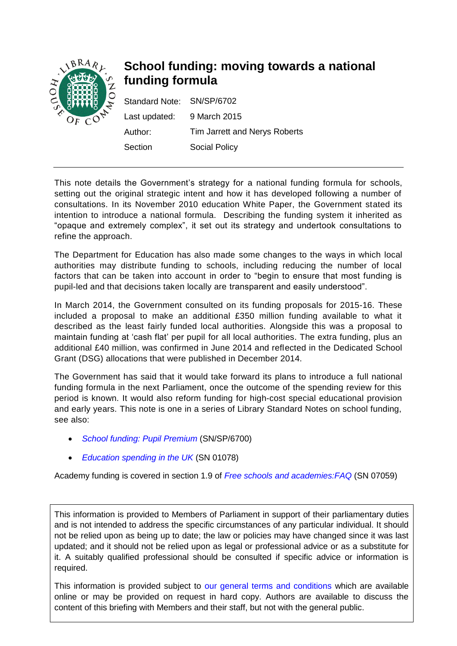

# **School funding: moving towards a national funding formula**

| Standard Note: SN/SP/6702 |                               |
|---------------------------|-------------------------------|
| Last updated:             | 9 March 2015                  |
| Author:                   | Tim Jarrett and Nerys Roberts |
| Section                   | <b>Social Policy</b>          |

This note details the Government's strategy for a national funding formula for schools, setting out the original strategic intent and how it has developed following a number of consultations. In its November 2010 education White Paper, the Government stated its intention to introduce a national formula. Describing the funding system it inherited as "opaque and extremely complex", it set out its strategy and undertook consultations to refine the approach.

The Department for Education has also made some changes to the ways in which local authorities may distribute funding to schools, including reducing the number of local factors that can be taken into account in order to "begin to ensure that most funding is pupil-led and that decisions taken locally are transparent and easily understood".

In March 2014, the Government consulted on its funding proposals for 2015-16. These included a proposal to make an additional £350 million funding available to what it described as the least fairly funded local authorities. Alongside this was a proposal to maintain funding at 'cash flat' per pupil for all local authorities. The extra funding, plus an additional £40 million, was confirmed in June 2014 and reflected in the Dedicated School Grant (DSG) allocations that were published in December 2014.

The Government has said that it would take forward its plans to introduce a full national funding formula in the next Parliament, once the outcome of the spending review for this period is known. It would also reform funding for high-cost special educational provision and early years. This note is one in a series of Library Standard Notes on school funding, see also:

- *[School funding: Pupil Premium](http://www.parliament.uk/briefing-papers/SN06700.pdf)* (SN/SP/6700)
- *Education [spending in the UK](http://www.parliament.uk/briefing-papers/SN01078/education-spending-in-the-uk)* (SN 01078)

Academy funding is covered in section 1.9 of *[Free schools and academies:FAQ](http://www.parliament.uk/business/publications/research/briefing-papers/SN07059/free-schools-and-academies-frequently-asked-questions)* (SN 07059)

This information is provided to Members of Parliament in support of their parliamentary duties and is not intended to address the specific circumstances of any particular individual. It should not be relied upon as being up to date; the law or policies may have changed since it was last updated; and it should not be relied upon as legal or professional advice or as a substitute for it. A suitably qualified professional should be consulted if specific advice or information is required.

This information is provided subject to [our general terms and conditions](http://www.parliament.uk/site-information/copyright/) which are available online or may be provided on request in hard copy. Authors are available to discuss the content of this briefing with Members and their staff, but not with the general public.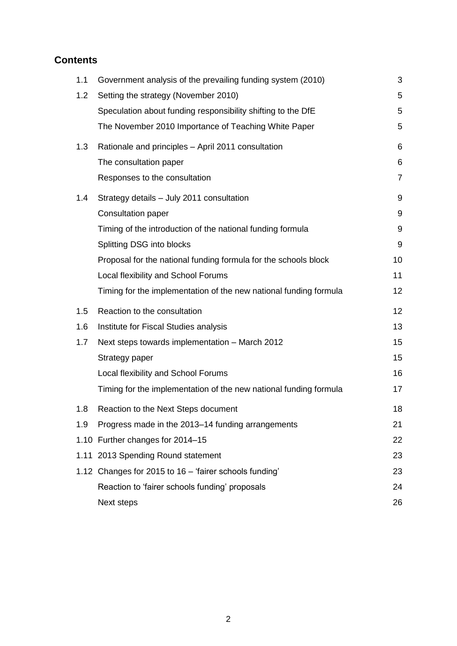# **Contents**

| 1.1 | Government analysis of the prevailing funding system (2010)       | 3              |
|-----|-------------------------------------------------------------------|----------------|
| 1.2 | Setting the strategy (November 2010)                              | 5              |
|     | Speculation about funding responsibility shifting to the DfE      | 5              |
|     | The November 2010 Importance of Teaching White Paper              | 5              |
| 1.3 | Rationale and principles - April 2011 consultation                | 6              |
|     | The consultation paper                                            | 6              |
|     | Responses to the consultation                                     | $\overline{7}$ |
| 1.4 | Strategy details - July 2011 consultation                         | 9              |
|     | <b>Consultation paper</b>                                         | 9              |
|     | Timing of the introduction of the national funding formula        | 9              |
|     | Splitting DSG into blocks                                         | 9              |
|     | Proposal for the national funding formula for the schools block   | 10             |
|     | Local flexibility and School Forums                               | 11             |
|     | Timing for the implementation of the new national funding formula | 12             |
| 1.5 | Reaction to the consultation                                      | 12             |
| 1.6 | Institute for Fiscal Studies analysis                             | 13             |
| 1.7 | Next steps towards implementation - March 2012                    | 15             |
|     | Strategy paper                                                    | 15             |
|     | Local flexibility and School Forums                               | 16             |
|     | Timing for the implementation of the new national funding formula | 17             |
| 1.8 | Reaction to the Next Steps document                               | 18             |
| 1.9 | Progress made in the 2013–14 funding arrangements                 | 21             |
|     | 1.10 Further changes for 2014-15                                  | 22             |
|     | 1.11 2013 Spending Round statement                                | 23             |
|     | 1.12 Changes for 2015 to 16 - 'fairer schools funding'            | 23             |
|     | Reaction to 'fairer schools funding' proposals                    | 24             |
|     | Next steps                                                        | 26             |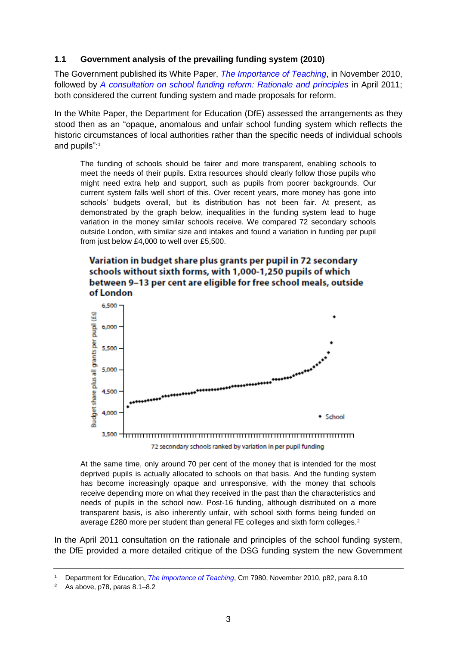# <span id="page-2-0"></span>**1.1 Government analysis of the prevailing funding system (2010)**

The Government published its White Paper, *[The Importance of Teaching](https://www.gov.uk/government/uploads/system/uploads/attachment_data/file/175429/CM-7980.pdf)*, in November 2010, followed by *[A consultation on school funding reform: Rationale and principles](http://www.education.gov.uk/consultations/downloadableDocs/School%20Funding%20Reform%20consultation%20final.pdf)* in April 2011; both considered the current funding system and made proposals for reform.

In the White Paper, the Department for Education (DfE) assessed the arrangements as they stood then as an "opaque, anomalous and unfair school funding system which reflects the historic circumstances of local authorities rather than the specific needs of individual schools and pupils":<sup>1</sup>

The funding of schools should be fairer and more transparent, enabling schools to meet the needs of their pupils. Extra resources should clearly follow those pupils who might need extra help and support, such as pupils from poorer backgrounds. Our current system falls well short of this. Over recent years, more money has gone into schools' budgets overall, but its distribution has not been fair. At present, as demonstrated by the graph below, inequalities in the funding system lead to huge variation in the money similar schools receive. We compared 72 secondary schools outside London, with similar size and intakes and found a variation in funding per pupil from just below £4,000 to well over £5,500.

# Variation in budget share plus grants per pupil in 72 secondary schools without sixth forms, with 1,000-1,250 pupils of which between 9-13 per cent are eligible for free school meals, outside of London



At the same time, only around 70 per cent of the money that is intended for the most deprived pupils is actually allocated to schools on that basis. And the funding system has become increasingly opaque and unresponsive, with the money that schools receive depending more on what they received in the past than the characteristics and needs of pupils in the school now. Post-16 funding, although distributed on a more transparent basis, is also inherently unfair, with school sixth forms being funded on average £280 more per student than general FE colleges and sixth form colleges.<sup>2</sup>

In the April 2011 consultation on the rationale and principles of the school funding system, the DfE provided a more detailed critique of the DSG funding system the new Government

<sup>1</sup> Department for Education, *[The Importance of Teaching](https://www.education.gov.uk/publications/eOrderingDownload/CM-7980.pdf)*, Cm 7980, November 2010, p82, para 8.10

<sup>&</sup>lt;sup>2</sup> As above,  $p78$ , paras  $8.1 - 8.2$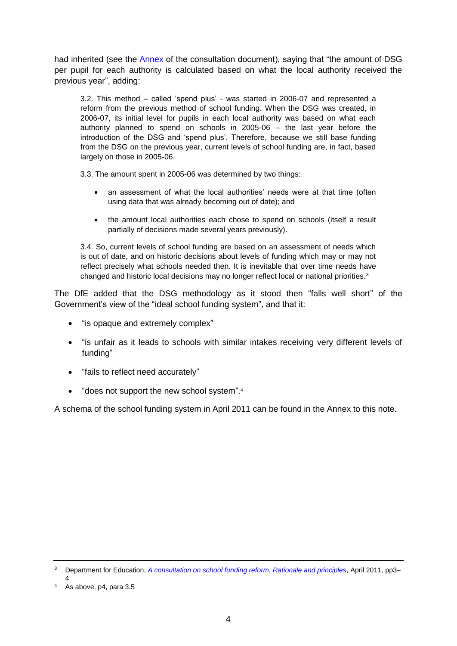had inherited (see the [Annex](http://www.education.gov.uk/consultations/downloadableDocs/School%20Funding%20Reform%20consultation%20final.pdf#page_15) of the consultation document), saying that "the amount of DSG per pupil for each authority is calculated based on what the local authority received the previous year", adding:

3.2. This method – called 'spend plus' - was started in 2006-07 and represented a reform from the previous method of school funding. When the DSG was created, in 2006-07, its initial level for pupils in each local authority was based on what each authority planned to spend on schools in 2005-06 – the last year before the introduction of the DSG and 'spend plus'. Therefore, because we still base funding from the DSG on the previous year, current levels of school funding are, in fact, based largely on those in 2005-06.

3.3. The amount spent in 2005-06 was determined by two things:

- an assessment of what the local authorities' needs were at that time (often using data that was already becoming out of date); and
- the amount local authorities each chose to spend on schools (itself a result partially of decisions made several years previously).

3.4. So, current levels of school funding are based on an assessment of needs which is out of date, and on historic decisions about levels of funding which may or may not reflect precisely what schools needed then. It is inevitable that over time needs have changed and historic local decisions may no longer reflect local or national priorities.<sup>3</sup>

The DfE added that the DSG methodology as it stood then "falls well short" of the Government's view of the "ideal school funding system", and that it:

- "is opaque and extremely complex"
- "is unfair as it leads to schools with similar intakes receiving very different levels of funding"
- "fails to reflect need accurately"
- "does not support the new school system".4

A schema of the school funding system in April 2011 can be found in the Annex to this note.

<sup>3</sup> Department for Education, *[A consultation on school funding reform: Rationale and principles](http://www.education.gov.uk/consultations/downloadableDocs/School%20Funding%20Reform%20consultation%20final.pdf)*, April 2011, pp3– 4

<sup>4</sup> As above, p4, para 3.5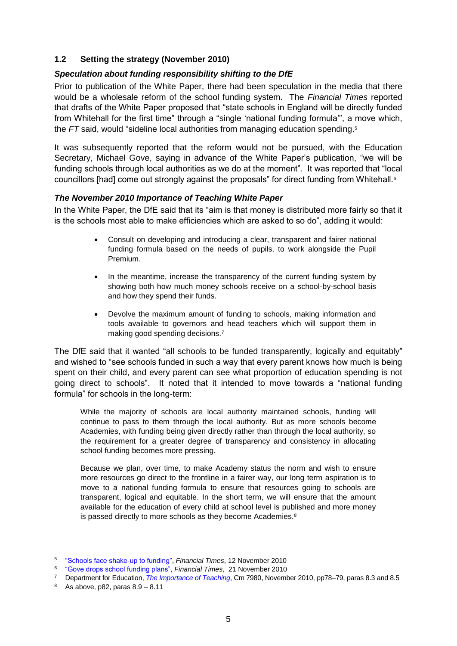# <span id="page-4-0"></span>**1.2 Setting the strategy (November 2010)**

# <span id="page-4-1"></span>*Speculation about funding responsibility shifting to the DfE*

Prior to publication of the White Paper, there had been speculation in the media that there would be a wholesale reform of the school funding system. The *Financial Times* reported that drafts of the White Paper proposed that "state schools in England will be directly funded from Whitehall for the first time" through a "single 'national funding formula'", a move which, the *FT* said, would "sideline local authorities from managing education spending. 5

It was subsequently reported that the reform would not be pursued, with the Education Secretary, Michael Gove, saying in advance of the White Paper's publication, "we will be funding schools through local authorities as we do at the moment". It was reported that "local councillors [had] come out strongly against the proposals" for direct funding from Whitehall.<sup>6</sup>

# <span id="page-4-2"></span>*The November 2010 Importance of Teaching White Paper*

In the White Paper, the DfE said that its "aim is that money is distributed more fairly so that it is the schools most able to make efficiencies which are asked to so do", adding it would:

- Consult on developing and introducing a clear, transparent and fairer national funding formula based on the needs of pupils, to work alongside the Pupil Premium.
- In the meantime, increase the transparency of the current funding system by showing both how much money schools receive on a school-by-school basis and how they spend their funds.
- Devolve the maximum amount of funding to schools, making information and tools available to governors and head teachers which will support them in making good spending decisions.<sup>7</sup>

The DfE said that it wanted "all schools to be funded transparently, logically and equitably" and wished to "see schools funded in such a way that every parent knows how much is being spent on their child, and every parent can see what proportion of education spending is not going direct to schools". It noted that it intended to move towards a "national funding formula" for schools in the long-term:

While the majority of schools are local authority maintained schools, funding will continue to pass to them through the local authority. But as more schools become Academies, with funding being given directly rather than through the local authority, so the requirement for a greater degree of transparency and consistency in allocating school funding becomes more pressing.

Because we plan, over time, to make Academy status the norm and wish to ensure more resources go direct to the frontline in a fairer way, our long term aspiration is to move to a national funding formula to ensure that resources going to schools are transparent, logical and equitable. In the short term, we will ensure that the amount available for the education of every child at school level is published and more money is passed directly to more schools as they become Academies.<sup>8</sup>

<sup>5</sup> ["Schools face shake-up to funding",](http://www.ft.com/cms/s/0/8e481dc8-eea0-11df-9db0-00144feab49a.html#axzz1RzUlniiZhttp://www.ft.com/cms/s/0/8e481dc8-eea0-11df-9db0-00144feab49a.html) *Financial Times*, 12 November 2010

<sup>6</sup> ["Gove drops school funding plans",](http://www.ft.com/cms/s/0/3f9c3fe4-f583-11df-99d6-00144feab49a.html#axzz1RzUlniiZ) *Financial Times*,21 November 2010

<sup>7</sup> Department for Education, *[The Importance of Teaching](https://www.education.gov.uk/publications/eOrderingDownload/CM-7980.pdf)*, Cm 7980, November 2010, pp78–79, paras 8.3 and 8.5

 $8$  As above, p82, paras  $8.9 - 8.11$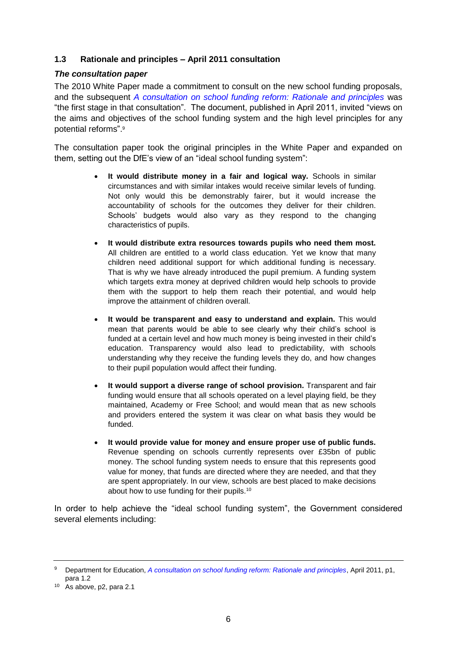# <span id="page-5-0"></span>**1.3 Rationale and principles – April 2011 consultation**

# <span id="page-5-1"></span>*The consultation paper*

The 2010 White Paper made a commitment to consult on the new school funding proposals, and the subsequent *[A consultation on school funding reform: Rationale and principles](http://www.education.gov.uk/consultations/downloadableDocs/School%20Funding%20Reform%20consultation%20final.pdf)* was "the first stage in that consultation". The document, published in April 2011, invited "views on the aims and objectives of the school funding system and the high level principles for any potential reforms". 9

The consultation paper took the original principles in the White Paper and expanded on them, setting out the DfE's view of an "ideal school funding system":

- **It would distribute money in a fair and logical way.** Schools in similar circumstances and with similar intakes would receive similar levels of funding. Not only would this be demonstrably fairer, but it would increase the accountability of schools for the outcomes they deliver for their children. Schools' budgets would also vary as they respond to the changing characteristics of pupils.
- **It would distribute extra resources towards pupils who need them most.** All children are entitled to a world class education. Yet we know that many children need additional support for which additional funding is necessary. That is why we have already introduced the pupil premium. A funding system which targets extra money at deprived children would help schools to provide them with the support to help them reach their potential, and would help improve the attainment of children overall.
- **It would be transparent and easy to understand and explain.** This would mean that parents would be able to see clearly why their child's school is funded at a certain level and how much money is being invested in their child's education. Transparency would also lead to predictability, with schools understanding why they receive the funding levels they do, and how changes to their pupil population would affect their funding.
- **It would support a diverse range of school provision.** Transparent and fair funding would ensure that all schools operated on a level playing field, be they maintained, Academy or Free School; and would mean that as new schools and providers entered the system it was clear on what basis they would be funded.
- **It would provide value for money and ensure proper use of public funds.** Revenue spending on schools currently represents over £35bn of public money. The school funding system needs to ensure that this represents good value for money, that funds are directed where they are needed, and that they are spent appropriately. In our view, schools are best placed to make decisions about how to use funding for their pupils.<sup>10</sup>

In order to help achieve the "ideal school funding system", the Government considered several elements including:

<sup>9</sup> Department for Education, *[A consultation on school funding reform: Rationale and principles](http://www.education.gov.uk/consultations/downloadableDocs/School%20Funding%20Reform%20consultation%20final.pdf)*, April 2011, p1, para 1.2

<sup>10</sup> As above, p2, para 2.1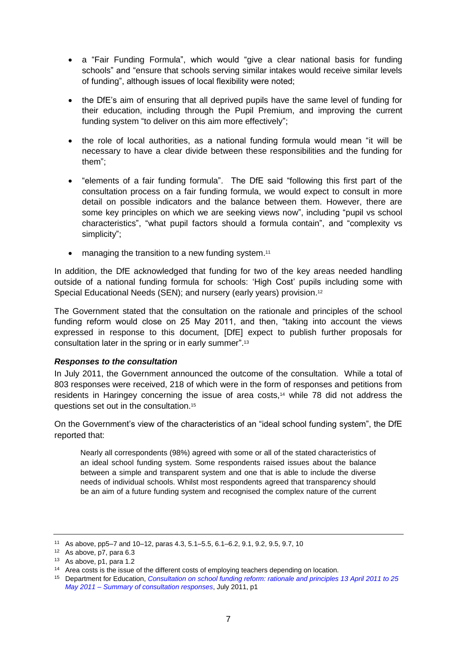- a "Fair Funding Formula", which would "give a clear national basis for funding schools" and "ensure that schools serving similar intakes would receive similar levels of funding", although issues of local flexibility were noted;
- the DfE's aim of ensuring that all deprived pupils have the same level of funding for their education, including through the Pupil Premium, and improving the current funding system "to deliver on this aim more effectively";
- the role of local authorities, as a national funding formula would mean "it will be necessary to have a clear divide between these responsibilities and the funding for them";
- "elements of a fair funding formula". The DfE said "following this first part of the consultation process on a fair funding formula, we would expect to consult in more detail on possible indicators and the balance between them. However, there are some key principles on which we are seeking views now", including "pupil vs school characteristics", "what pupil factors should a formula contain", and "complexity vs simplicity";
- managing the transition to a new funding system.<sup>11</sup>

In addition, the DfE acknowledged that funding for two of the key areas needed handling outside of a national funding formula for schools: 'High Cost' pupils including some with Special Educational Needs (SEN); and nursery (early years) provision.<sup>12</sup>

The Government stated that the consultation on the rationale and principles of the school funding reform would close on 25 May 2011, and then, "taking into account the views expressed in response to this document, [DfE] expect to publish further proposals for consultation later in the spring or in early summer". 13

#### <span id="page-6-0"></span>*Responses to the consultation*

In July 2011, the Government announced the outcome of the consultation. While a total of 803 responses were received, 218 of which were in the form of responses and petitions from residents in Haringey concerning the issue of area costs,<sup>14</sup> while 78 did not address the questions set out in the consultation.<sup>15</sup>

On the Government's view of the characteristics of an "ideal school funding system", the DfE reported that:

Nearly all correspondents (98%) agreed with some or all of the stated characteristics of an ideal school funding system. Some respondents raised issues about the balance between a simple and transparent system and one that is able to include the diverse needs of individual schools. Whilst most respondents agreed that transparency should be an aim of a future funding system and recognised the complex nature of the current

<sup>11</sup> As above, pp5–7 and 10–12, paras 4.3, 5.1–5.5, 6.1–6.2, 9.1, 9.2, 9.5, 9.7, 10

<sup>12</sup> As above, p7, para 6.3

<sup>13</sup> As above, p1, para 1.2

<sup>&</sup>lt;sup>14</sup> Area costs is the issue of the different costs of employing teachers depending on location.

<sup>15</sup> Department for Education, *[Consultation on school funding reform: rationale and principles 13 April 2011 to 25](http://www.education.gov.uk/consultations/downloadableDocs/110720%20Report%20of%20April%20Consultation%20Final.pdf)  May 2011 – [Summary of consultation responses](http://www.education.gov.uk/consultations/downloadableDocs/110720%20Report%20of%20April%20Consultation%20Final.pdf)*, July 2011, p1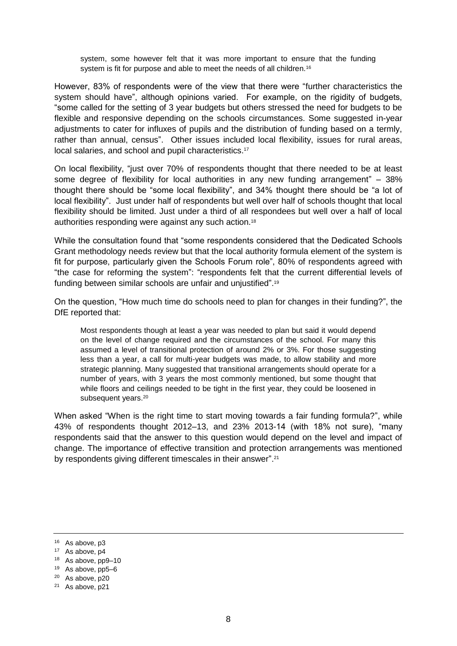system, some however felt that it was more important to ensure that the funding system is fit for purpose and able to meet the needs of all children.<sup>16</sup>

However, 83% of respondents were of the view that there were "further characteristics the system should have", although opinions varied. For example, on the rigidity of budgets, "some called for the setting of 3 year budgets but others stressed the need for budgets to be flexible and responsive depending on the schools circumstances. Some suggested in-year adjustments to cater for influxes of pupils and the distribution of funding based on a termly, rather than annual, census". Other issues included local flexibility, issues for rural areas, local salaries, and school and pupil characteristics.<sup>17</sup>

On local flexibility, "just over 70% of respondents thought that there needed to be at least some degree of flexibility for local authorities in any new funding arrangement" – 38% thought there should be "some local flexibility", and 34% thought there should be "a lot of local flexibility". Just under half of respondents but well over half of schools thought that local flexibility should be limited. Just under a third of all respondees but well over a half of local authorities responding were against any such action.<sup>18</sup>

While the consultation found that "some respondents considered that the Dedicated Schools Grant methodology needs review but that the local authority formula element of the system is fit for purpose, particularly given the Schools Forum role", 80% of respondents agreed with "the case for reforming the system": "respondents felt that the current differential levels of funding between similar schools are unfair and unjustified". 19

On the question, "How much time do schools need to plan for changes in their funding?", the DfE reported that:

Most respondents though at least a year was needed to plan but said it would depend on the level of change required and the circumstances of the school. For many this assumed a level of transitional protection of around 2% or 3%. For those suggesting less than a year, a call for multi-year budgets was made, to allow stability and more strategic planning. Many suggested that transitional arrangements should operate for a number of years, with 3 years the most commonly mentioned, but some thought that while floors and ceilings needed to be tight in the first year, they could be loosened in subsequent years.<sup>20</sup>

When asked "When is the right time to start moving towards a fair funding formula?", while 43% of respondents thought 2012–13, and 23% 2013-14 (with 18% not sure), "many respondents said that the answer to this question would depend on the level and impact of change. The importance of effective transition and protection arrangements was mentioned by respondents giving different timescales in their answer".<sup>21</sup>

<sup>16</sup> As above, p3

<sup>17</sup> As above, p4

<sup>18</sup> As above, pp9–10

<sup>19</sup> As above, pp5–6

<sup>20</sup> As above, p20

<sup>21</sup> As above, p21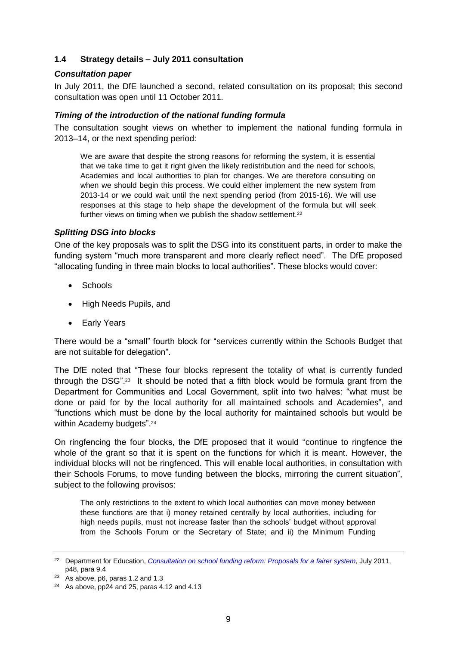# <span id="page-8-0"></span>**1.4 Strategy details – July 2011 consultation**

#### <span id="page-8-1"></span>*Consultation paper*

In July 2011, the DfE launched a second, related consultation on its proposal; this second consultation was open until 11 October 2011.

# <span id="page-8-2"></span>*Timing of the introduction of the national funding formula*

The consultation sought views on whether to implement the national funding formula in 2013–14, or the next spending period:

We are aware that despite the strong reasons for reforming the system, it is essential that we take time to get it right given the likely redistribution and the need for schools, Academies and local authorities to plan for changes. We are therefore consulting on when we should begin this process. We could either implement the new system from 2013-14 or we could wait until the next spending period (from 2015-16). We will use responses at this stage to help shape the development of the formula but will seek further views on timing when we publish the shadow settlement.<sup>22</sup>

#### <span id="page-8-3"></span>*Splitting DSG into blocks*

One of the key proposals was to split the DSG into its constituent parts, in order to make the funding system "much more transparent and more clearly reflect need". The DfE proposed "allocating funding in three main blocks to local authorities". These blocks would cover:

- Schools
- High Needs Pupils, and
- Early Years

There would be a "small" fourth block for "services currently within the Schools Budget that are not suitable for delegation".

The DfE noted that "These four blocks represent the totality of what is currently funded through the DSG".<sup>23</sup> It should be noted that a fifth block would be formula grant from the Department for Communities and Local Government, split into two halves: "what must be done or paid for by the local authority for all maintained schools and Academies", and "functions which must be done by the local authority for maintained schools but would be within Academy budgets".<sup>24</sup>

On ringfencing the four blocks, the DfE proposed that it would "continue to ringfence the whole of the grant so that it is spent on the functions for which it is meant. However, the individual blocks will not be ringfenced. This will enable local authorities, in consultation with their Schools Forums, to move funding between the blocks, mirroring the current situation", subject to the following provisos:

The only restrictions to the extent to which local authorities can move money between these functions are that i) money retained centrally by local authorities, including for high needs pupils, must not increase faster than the schools' budget without approval from the Schools Forum or the Secretary of State; and ii) the Minimum Funding

<sup>22</sup> Department for Education, *[Consultation on school funding reform: Proposals for a fairer system](http://www.education.gov.uk/consultations/downloadableDocs/July%2011%20Consultation%20on%20School%20Funding%20Reform%20FINAL.pdf)*, July 2011, p48, para 9.4

 $23$  As above, p6, paras 1.2 and 1.3

 $24$  As above, pp24 and 25, paras 4.12 and 4.13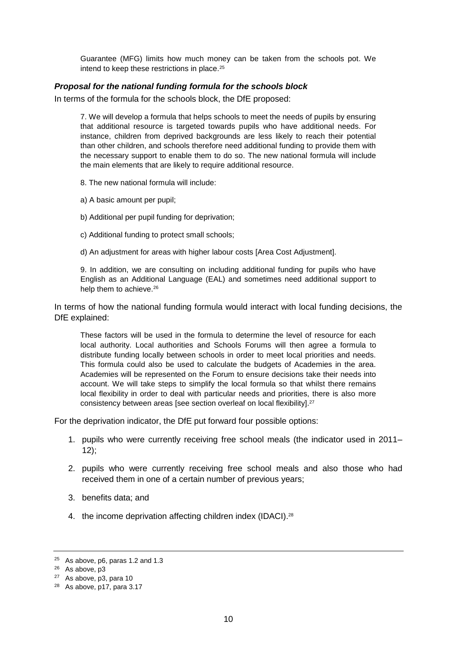Guarantee (MFG) limits how much money can be taken from the schools pot. We intend to keep these restrictions in place.<sup>25</sup>

#### <span id="page-9-0"></span>*Proposal for the national funding formula for the schools block*

In terms of the formula for the schools block, the DfE proposed:

7. We will develop a formula that helps schools to meet the needs of pupils by ensuring that additional resource is targeted towards pupils who have additional needs. For instance, children from deprived backgrounds are less likely to reach their potential than other children, and schools therefore need additional funding to provide them with the necessary support to enable them to do so. The new national formula will include the main elements that are likely to require additional resource.

8. The new national formula will include:

- a) A basic amount per pupil;
- b) Additional per pupil funding for deprivation;
- c) Additional funding to protect small schools;
- d) An adjustment for areas with higher labour costs [Area Cost Adjustment].

9. In addition, we are consulting on including additional funding for pupils who have English as an Additional Language (EAL) and sometimes need additional support to help them to achieve.<sup>26</sup>

In terms of how the national funding formula would interact with local funding decisions, the DfE explained:

These factors will be used in the formula to determine the level of resource for each local authority. Local authorities and Schools Forums will then agree a formula to distribute funding locally between schools in order to meet local priorities and needs. This formula could also be used to calculate the budgets of Academies in the area. Academies will be represented on the Forum to ensure decisions take their needs into account. We will take steps to simplify the local formula so that whilst there remains local flexibility in order to deal with particular needs and priorities, there is also more consistency between areas [see section overleaf on local flexibility]. 27

For the deprivation indicator, the DfE put forward four possible options:

- 1. pupils who were currently receiving free school meals (the indicator used in 2011– 12);
- 2. pupils who were currently receiving free school meals and also those who had received them in one of a certain number of previous years;
- 3. benefits data; and
- 4. the income deprivation affecting children index (IDACI).<sup>28</sup>

<sup>25</sup> As above, p6, paras 1.2 and 1.3

<sup>26</sup> As above, p3

<sup>27</sup> As above, p3, para 10

<sup>28</sup> As above, p17, para 3.17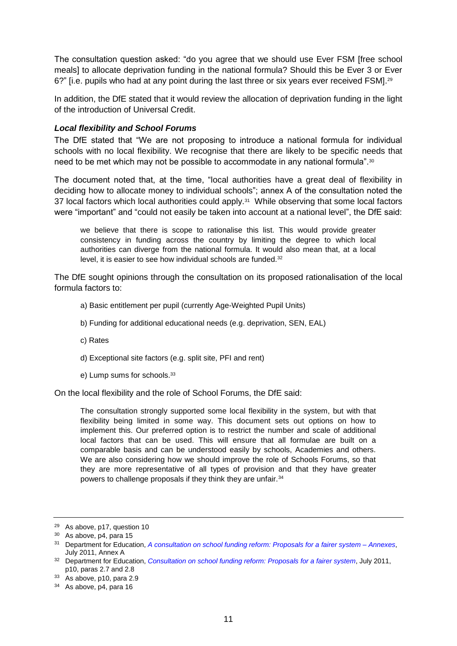The consultation question asked: "do you agree that we should use Ever FSM [free school meals] to allocate deprivation funding in the national formula? Should this be Ever 3 or Ever 6?" [i.e. pupils who had at any point during the last three or six years ever received FSM].<sup>29</sup>

In addition, the DfE stated that it would review the allocation of deprivation funding in the light of the introduction of Universal Credit.

#### <span id="page-10-0"></span>*Local flexibility and School Forums*

The DfE stated that "We are not proposing to introduce a national formula for individual schools with no local flexibility. We recognise that there are likely to be specific needs that need to be met which may not be possible to accommodate in any national formula".<sup>30</sup>

The document noted that, at the time, "local authorities have a great deal of flexibility in deciding how to allocate money to individual schools"; annex A of the consultation noted the 37 local factors which local authorities could apply.<sup>31</sup> While observing that some local factors were "important" and "could not easily be taken into account at a national level", the DfE said:

we believe that there is scope to rationalise this list. This would provide greater consistency in funding across the country by limiting the degree to which local authorities can diverge from the national formula. It would also mean that, at a local level, it is easier to see how individual schools are funded.<sup>32</sup>

The DfE sought opinions through the consultation on its proposed rationalisation of the local formula factors to:

- a) Basic entitlement per pupil (currently Age-Weighted Pupil Units)
- b) Funding for additional educational needs (e.g. deprivation, SEN, EAL)
- c) Rates
- d) Exceptional site factors (e.g. split site, PFI and rent)
- e) Lump sums for schools.<sup>33</sup>

On the local flexibility and the role of School Forums, the DfE said:

The consultation strongly supported some local flexibility in the system, but with that flexibility being limited in some way. This document sets out options on how to implement this. Our preferred option is to restrict the number and scale of additional local factors that can be used. This will ensure that all formulae are built on a comparable basis and can be understood easily by schools, Academies and others. We are also considering how we should improve the role of Schools Forums, so that they are more representative of all types of provision and that they have greater powers to challenge proposals if they think they are unfair.<sup>34</sup>

<sup>29</sup> As above, p17, question 10

<sup>30</sup> As above, p4, para 15

<sup>31</sup> Department for Education, *[A consultation on school funding reform: Proposals for a fairer system –](https://www.education.gov.uk/consultations/downloadableDocs/A%20consultation%20on%20school%20funding%20reform%20-%20Annexes.pdf) Annexes*, July 2011, Annex A

<sup>32</sup> Department for Education, *[Consultation on school funding reform:](http://www.education.gov.uk/consultations/downloadableDocs/July%2011%20Consultation%20on%20School%20Funding%20Reform%20FINAL.pdf) Proposals for a fairer system*, July 2011, p10, paras 2.7 and 2.8

<sup>33</sup> As above, p10, para 2.9

<sup>&</sup>lt;sup>34</sup> As above, p4, para 16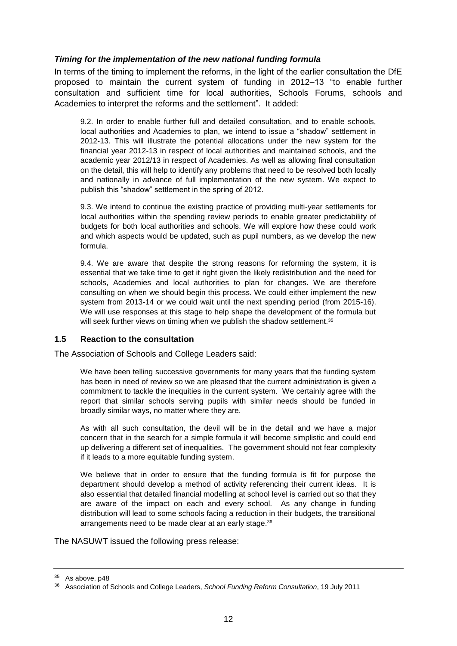# <span id="page-11-0"></span>*Timing for the implementation of the new national funding formula*

In terms of the timing to implement the reforms, in the light of the earlier consultation the DfE proposed to maintain the current system of funding in 2012–13 "to enable further consultation and sufficient time for local authorities, Schools Forums, schools and Academies to interpret the reforms and the settlement". It added:

9.2. In order to enable further full and detailed consultation, and to enable schools, local authorities and Academies to plan, we intend to issue a "shadow" settlement in 2012-13. This will illustrate the potential allocations under the new system for the financial year 2012-13 in respect of local authorities and maintained schools, and the academic year 2012/13 in respect of Academies. As well as allowing final consultation on the detail, this will help to identify any problems that need to be resolved both locally and nationally in advance of full implementation of the new system. We expect to publish this "shadow" settlement in the spring of 2012.

9.3. We intend to continue the existing practice of providing multi-year settlements for local authorities within the spending review periods to enable greater predictability of budgets for both local authorities and schools. We will explore how these could work and which aspects would be updated, such as pupil numbers, as we develop the new formula.

9.4. We are aware that despite the strong reasons for reforming the system, it is essential that we take time to get it right given the likely redistribution and the need for schools, Academies and local authorities to plan for changes. We are therefore consulting on when we should begin this process. We could either implement the new system from 2013-14 or we could wait until the next spending period (from 2015-16). We will use responses at this stage to help shape the development of the formula but will seek further views on timing when we publish the shadow settlement.<sup>35</sup>

#### <span id="page-11-1"></span>**1.5 Reaction to the consultation**

The Association of Schools and College Leaders said:

We have been telling successive governments for many years that the funding system has been in need of review so we are pleased that the current administration is given a commitment to tackle the inequities in the current system. We certainly agree with the report that similar schools serving pupils with similar needs should be funded in broadly similar ways, no matter where they are.

As with all such consultation, the devil will be in the detail and we have a major concern that in the search for a simple formula it will become simplistic and could end up delivering a different set of inequalities. The government should not fear complexity if it leads to a more equitable funding system.

We believe that in order to ensure that the funding formula is fit for purpose the department should develop a method of activity referencing their current ideas. It is also essential that detailed financial modelling at school level is carried out so that they are aware of the impact on each and every school. As any change in funding distribution will lead to some schools facing a reduction in their budgets, the transitional arrangements need to be made clear at an early stage.<sup>36</sup>

The NASUWT issued the following press release:

<sup>&</sup>lt;sup>35</sup> As above, p48

<sup>36</sup> Association of Schools and College Leaders, *School Funding Reform Consultation*, 19 July 2011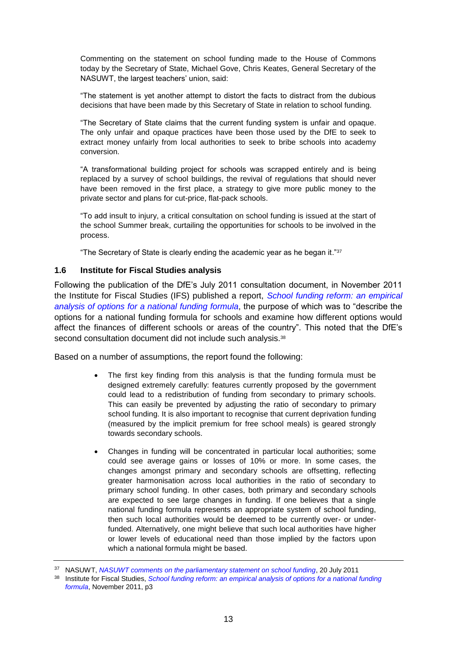Commenting on the statement on school funding made to the House of Commons today by the Secretary of State, Michael Gove, Chris Keates, General Secretary of the NASUWT, the largest teachers' union, said:

"The statement is yet another attempt to distort the facts to distract from the dubious decisions that have been made by this Secretary of State in relation to school funding.

"The Secretary of State claims that the current funding system is unfair and opaque. The only unfair and opaque practices have been those used by the DfE to seek to extract money unfairly from local authorities to seek to bribe schools into academy conversion.

"A transformational building project for schools was scrapped entirely and is being replaced by a survey of school buildings, the revival of regulations that should never have been removed in the first place, a strategy to give more public money to the private sector and plans for cut-price, flat-pack schools.

"To add insult to injury, a critical consultation on school funding is issued at the start of the school Summer break, curtailing the opportunities for schools to be involved in the process.

"The Secretary of State is clearly ending the academic year as he began it."37

#### <span id="page-12-0"></span>**1.6 Institute for Fiscal Studies analysis**

Following the publication of the DfE's July 2011 consultation document, in November 2011 the Institute for Fiscal Studies (IFS) published a report, *[School funding reform: an empirical](http://www.ifs.org.uk/bns/bn123.pdf)  [analysis of options for a national funding formula](http://www.ifs.org.uk/bns/bn123.pdf)*, the purpose of which was to "describe the options for a national funding formula for schools and examine how different options would affect the finances of different schools or areas of the country". This noted that the DfE's second consultation document did not include such analysis.<sup>38</sup>

Based on a number of assumptions, the report found the following:

- The first key finding from this analysis is that the funding formula must be designed extremely carefully: features currently proposed by the government could lead to a redistribution of funding from secondary to primary schools. This can easily be prevented by adjusting the ratio of secondary to primary school funding. It is also important to recognise that current deprivation funding (measured by the implicit premium for free school meals) is geared strongly towards secondary schools.
- Changes in funding will be concentrated in particular local authorities; some could see average gains or losses of 10% or more. In some cases, the changes amongst primary and secondary schools are offsetting, reflecting greater harmonisation across local authorities in the ratio of secondary to primary school funding. In other cases, both primary and secondary schools are expected to see large changes in funding. If one believes that a single national funding formula represents an appropriate system of school funding, then such local authorities would be deemed to be currently over- or underfunded. Alternatively, one might believe that such local authorities have higher or lower levels of educational need than those implied by the factors upon which a national formula might be based.

<sup>37</sup> NASUWT, *[NASUWT comments on the parliamentary statement on school funding](http://www.nasuwt.org.uk/Whatsnew/NASUWTNews/PressReleases/NASUWT_008113)*, 20 July 2011

<sup>38</sup> Institute for Fiscal Studies, *[School funding reform: an empirical analysis of options for a national funding](http://www.ifs.org.uk/bns/bn123.pdf)  [formula](http://www.ifs.org.uk/bns/bn123.pdf)*, November 2011, p3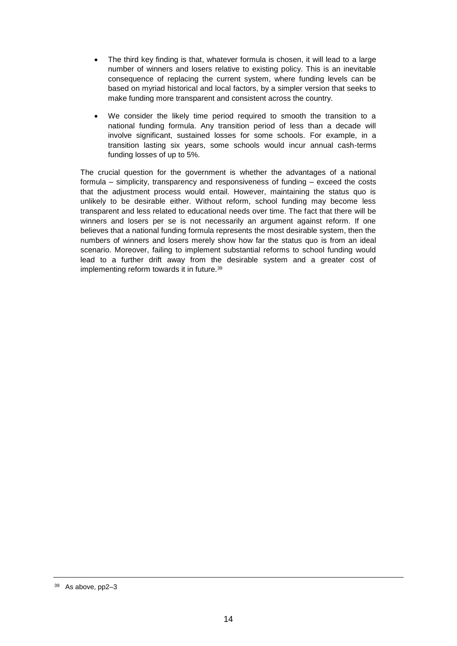- The third key finding is that, whatever formula is chosen, it will lead to a large number of winners and losers relative to existing policy. This is an inevitable consequence of replacing the current system, where funding levels can be based on myriad historical and local factors, by a simpler version that seeks to make funding more transparent and consistent across the country.
- We consider the likely time period required to smooth the transition to a national funding formula. Any transition period of less than a decade will involve significant, sustained losses for some schools. For example, in a transition lasting six years, some schools would incur annual cash-terms funding losses of up to 5%.

The crucial question for the government is whether the advantages of a national formula – simplicity, transparency and responsiveness of funding – exceed the costs that the adjustment process would entail. However, maintaining the status quo is unlikely to be desirable either. Without reform, school funding may become less transparent and less related to educational needs over time. The fact that there will be winners and losers per se is not necessarily an argument against reform. If one believes that a national funding formula represents the most desirable system, then the numbers of winners and losers merely show how far the status quo is from an ideal scenario. Moreover, failing to implement substantial reforms to school funding would lead to a further drift away from the desirable system and a greater cost of implementing reform towards it in future.<sup>39</sup>

<sup>39</sup> As above, pp2–3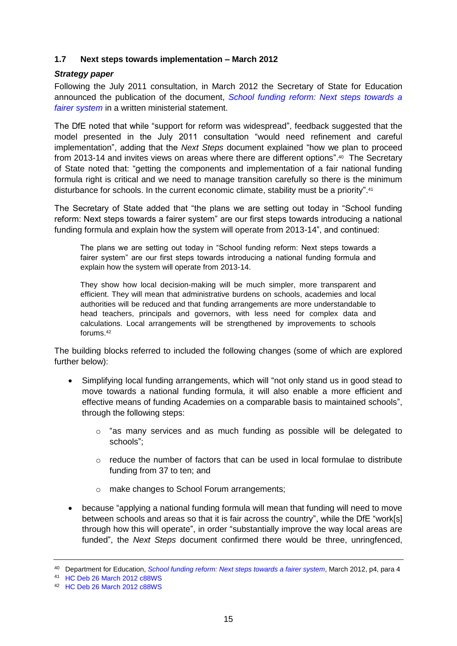# <span id="page-14-0"></span>**1.7 Next steps towards implementation – March 2012**

#### <span id="page-14-1"></span>*Strategy paper*

Following the July 2011 consultation, in March 2012 the Secretary of State for Education announced the publication of the document, *[School funding reform: Next steps towards a](http://media.education.gov.uk/assets/files/pdf/s/school%20funding%20reform%20-%20next%20steps%20towards%20a%20fairer%20system.pdf)  [fairer system](http://media.education.gov.uk/assets/files/pdf/s/school%20funding%20reform%20-%20next%20steps%20towards%20a%20fairer%20system.pdf)* in a written ministerial statement.

The DfE noted that while "support for reform was widespread", feedback suggested that the model presented in the July 2011 consultation "would need refinement and careful implementation", adding that the *Next Steps* document explained "how we plan to proceed from 2013-14 and invites views on areas where there are different options".<sup>40</sup> The Secretary of State noted that: "getting the components and implementation of a fair national funding formula right is critical and we need to manage transition carefully so there is the minimum disturbance for schools. In the current economic climate, stability must be a priority". 41

The Secretary of State added that "the plans we are setting out today in "School funding reform: Next steps towards a fairer system" are our first steps towards introducing a national funding formula and explain how the system will operate from 2013-14", and continued:

The plans we are setting out today in "School funding reform: Next steps towards a fairer system" are our first steps towards introducing a national funding formula and explain how the system will operate from 2013-14.

They show how local decision-making will be much simpler, more transparent and efficient. They will mean that administrative burdens on schools, academies and local authorities will be reduced and that funding arrangements are more understandable to head teachers, principals and governors, with less need for complex data and calculations. Local arrangements will be strengthened by improvements to schools forums.<sup>42</sup>

The building blocks referred to included the following changes (some of which are explored further below):

- Simplifying local funding arrangements, which will "not only stand us in good stead to move towards a national funding formula, it will also enable a more efficient and effective means of funding Academies on a comparable basis to maintained schools", through the following steps:
	- o "as many services and as much funding as possible will be delegated to schools";
	- $\circ$  reduce the number of factors that can be used in local formulae to distribute funding from 37 to ten; and
	- o make changes to School Forum arrangements;
- because "applying a national funding formula will mean that funding will need to move between schools and areas so that it is fair across the country", while the DfE "work[s] through how this will operate", in order "substantially improve the way local areas are funded", the *Next Steps* document confirmed there would be three, unringfenced,

<sup>40</sup> Department for Education, *[School funding reform: Next steps towards a fairer system](http://media.education.gov.uk/assets/files/pdf/s/school%20funding%20reform%20-%20next%20steps%20towards%20a%20fairer%20system.pdf)*, March 2012, p4, para 4

<sup>41</sup> [HC Deb 26 March 2012 c88WS](http://www.publications.parliament.uk/pa/cm201212/cmhansrd/cm120326/wmstext/120326m0001.htm#1203261000005)

<sup>42</sup> [HC Deb 26 March 2012 c88WS](http://www.publications.parliament.uk/pa/cm201212/cmhansrd/cm120326/wmstext/120326m0001.htm#1203261000005)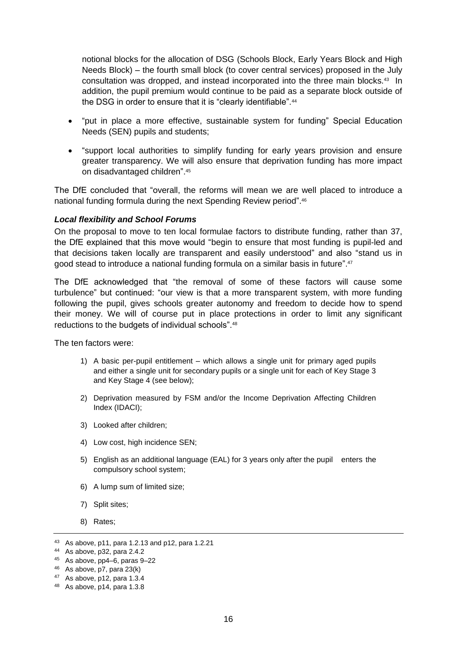notional blocks for the allocation of DSG (Schools Block, Early Years Block and High Needs Block) – the fourth small block (to cover central services) proposed in the July consultation was dropped, and instead incorporated into the three main blocks.<sup>43</sup> In addition, the pupil premium would continue to be paid as a separate block outside of the DSG in order to ensure that it is "clearly identifiable".<sup>44</sup>

- "put in place a more effective, sustainable system for funding" Special Education Needs (SEN) pupils and students;
- "support local authorities to simplify funding for early years provision and ensure greater transparency. We will also ensure that deprivation funding has more impact on disadvantaged children".<sup>45</sup>

The DfE concluded that "overall, the reforms will mean we are well placed to introduce a national funding formula during the next Spending Review period".<sup>46</sup>

#### <span id="page-15-0"></span>*Local flexibility and School Forums*

On the proposal to move to ten local formulae factors to distribute funding, rather than 37, the DfE explained that this move would "begin to ensure that most funding is pupil-led and that decisions taken locally are transparent and easily understood" and also "stand us in good stead to introduce a national funding formula on a similar basis in future". 47

The DfE acknowledged that "the removal of some of these factors will cause some turbulence" but continued: "our view is that a more transparent system, with more funding following the pupil, gives schools greater autonomy and freedom to decide how to spend their money. We will of course put in place protections in order to limit any significant reductions to the budgets of individual schools".<sup>48</sup>

The ten factors were:

- 1) A basic per-pupil entitlement which allows a single unit for primary aged pupils and either a single unit for secondary pupils or a single unit for each of Key Stage 3 and Key Stage 4 (see below);
- 2) Deprivation measured by FSM and/or the Income Deprivation Affecting Children Index (IDACI);
- 3) Looked after children;
- 4) Low cost, high incidence SEN;
- 5) English as an additional language (EAL) for 3 years only after the pupil enters the compulsory school system;
- 6) A lump sum of limited size;
- 7) Split sites;
- 8) Rates;

<sup>43</sup> As above, p11, para 1.2.13 and p12, para 1.2.21

<sup>44</sup> As above, p32, para 2.4.2

<sup>45</sup> As above, pp4–6, paras 9–22

<sup>46</sup> As above, p7, para 23(k)

<sup>47</sup> As above, p12, para 1.3.4

<sup>48</sup> As above, p14, para 1.3.8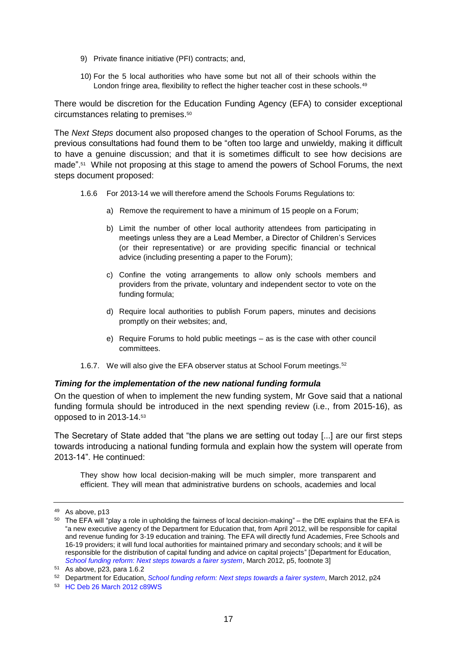- 9) Private finance initiative (PFI) contracts; and,
- 10) For the 5 local authorities who have some but not all of their schools within the London fringe area, flexibility to reflect the higher teacher cost in these schools.<sup>49</sup>

There would be discretion for the Education Funding Agency (EFA) to consider exceptional circumstances relating to premises. 50

The *Next Steps* document also proposed changes to the operation of School Forums, as the previous consultations had found them to be "often too large and unwieldy, making it difficult to have a genuine discussion; and that it is sometimes difficult to see how decisions are made". 51 While not proposing at this stage to amend the powers of School Forums, the next steps document proposed:

- 1.6.6 For 2013-14 we will therefore amend the Schools Forums Regulations to:
	- a) Remove the requirement to have a minimum of 15 people on a Forum;
	- b) Limit the number of other local authority attendees from participating in meetings unless they are a Lead Member, a Director of Children's Services (or their representative) or are providing specific financial or technical advice (including presenting a paper to the Forum);
	- c) Confine the voting arrangements to allow only schools members and providers from the private, voluntary and independent sector to vote on the funding formula;
	- d) Require local authorities to publish Forum papers, minutes and decisions promptly on their websites; and,
	- e) Require Forums to hold public meetings as is the case with other council committees.
- 1.6.7. We will also give the EFA observer status at School Forum meetings.<sup>52</sup>

#### <span id="page-16-0"></span>*Timing for the implementation of the new national funding formula*

On the question of when to implement the new funding system, Mr Gove said that a national funding formula should be introduced in the next spending review (i.e., from 2015-16), as opposed to in 2013-14. 53

The Secretary of State added that "the plans we are setting out today [...] are our first steps towards introducing a national funding formula and explain how the system will operate from 2013-14". He continued:

They show how local decision-making will be much simpler, more transparent and efficient. They will mean that administrative burdens on schools, academies and local

<sup>49</sup> As above, p13

 $50$  The EFA will "play a role in upholding the fairness of local decision-making" – the DfE explains that the EFA is "a new executive agency of the Department for Education that, from April 2012, will be responsible for capital and revenue funding for 3-19 education and training. The EFA will directly fund Academies, Free Schools and 16-19 providers; it will fund local authorities for maintained primary and secondary schools; and it will be responsible for the distribution of capital funding and advice on capital projects" [Department for Education, *[School funding reform: Next steps towards a fairer system](http://media.education.gov.uk/assets/files/pdf/s/school%20funding%20reform%20-%20next%20steps%20towards%20a%20fairer%20system.pdf)*, March 2012, p5, footnote 3]

<sup>51</sup> As above, p23, para 1.6.2

<sup>52</sup> Department for Education, *[School funding reform: Next steps towards a fairer system](http://media.education.gov.uk/assets/files/pdf/s/school%20funding%20reform%20-%20next%20steps%20towards%20a%20fairer%20system.pdf)*, March 2012, p24

<sup>53</sup> [HC Deb 26 March 2012 c89WS](http://www.publications.parliament.uk/pa/cm201212/cmhansrd/cm120326/wmstext/120326m0001.htm#1203261000005)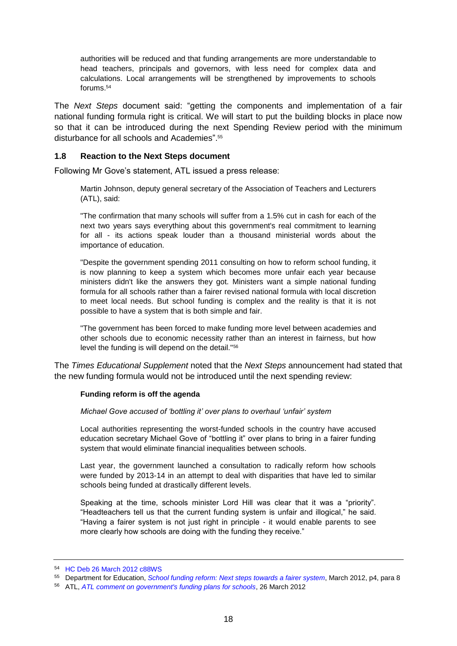authorities will be reduced and that funding arrangements are more understandable to head teachers, principals and governors, with less need for complex data and calculations. Local arrangements will be strengthened by improvements to schools forums.<sup>54</sup>

The *Next Steps* document said: "getting the components and implementation of a fair national funding formula right is critical. We will start to put the building blocks in place now so that it can be introduced during the next Spending Review period with the minimum disturbance for all schools and Academies". 55

#### <span id="page-17-0"></span>**1.8 Reaction to the Next Steps document**

Following Mr Gove's statement, ATL issued a press release:

Martin Johnson, deputy general secretary of the Association of Teachers and Lecturers (ATL), said:

"The confirmation that many schools will suffer from a 1.5% cut in cash for each of the next two years says everything about this government's real commitment to learning for all - its actions speak louder than a thousand ministerial words about the importance of education.

"Despite the government spending 2011 consulting on how to reform school funding, it is now planning to keep a system which becomes more unfair each year because ministers didn't like the answers they got. Ministers want a simple national funding formula for all schools rather than a fairer revised national formula with local discretion to meet local needs. But school funding is complex and the reality is that it is not possible to have a system that is both simple and fair.

"The government has been forced to make funding more level between academies and other schools due to economic necessity rather than an interest in fairness, but how level the funding is will depend on the detail."<sup>56</sup>

The *Times Educational Supplement* noted that the *Next Steps* announcement had stated that the new funding formula would not be introduced until the next spending review:

#### **Funding reform is off the agenda**

*Michael Gove accused of 'bottling it' over plans to overhaul 'unfair' system*

Local authorities representing the worst-funded schools in the country have accused education secretary Michael Gove of "bottling it" over plans to bring in a fairer funding system that would eliminate financial inequalities between schools.

Last year, the government launched a consultation to radically reform how schools were funded by 2013-14 in an attempt to deal with disparities that have led to similar schools being funded at drastically different levels.

Speaking at the time, schools minister Lord Hill was clear that it was a "priority". "Headteachers tell us that the current funding system is unfair and illogical," he said. "Having a fairer system is not just right in principle - it would enable parents to see more clearly how schools are doing with the funding they receive."

<sup>54</sup> [HC Deb 26 March 2012 c88WS](http://www.publications.parliament.uk/pa/cm201212/cmhansrd/cm120326/wmstext/120326m0001.htm#1203261000005)

<sup>55</sup> Department for Education, *[School funding reform: Next steps towards a fairer system](http://media.education.gov.uk/assets/files/pdf/s/school%20funding%20reform%20-%20next%20steps%20towards%20a%20fairer%20system.pdf)*, March 2012, p4, para 8

<sup>56</sup> ATL, *[ATL comment on government's funding plans for schools](http://www.atl.org.uk/media-office/media-archive/ATL-comment-on-governments-funding-plans-for-schools.asp)*, 26 March 2012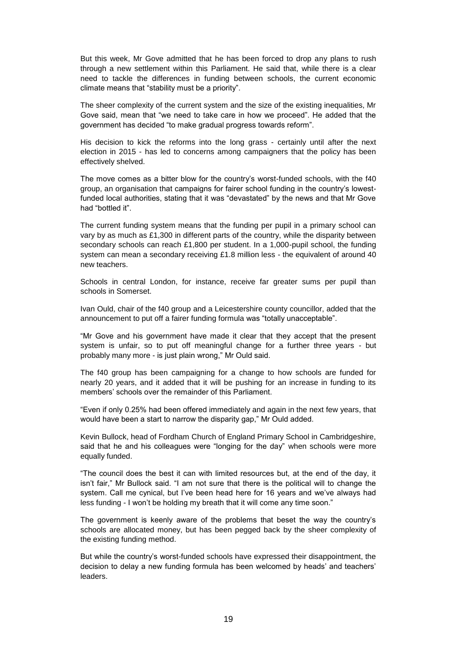But this week, Mr Gove admitted that he has been forced to drop any plans to rush through a new settlement within this Parliament. He said that, while there is a clear need to tackle the differences in funding between schools, the current economic climate means that "stability must be a priority".

The sheer complexity of the current system and the size of the existing inequalities, Mr Gove said, mean that "we need to take care in how we proceed". He added that the government has decided "to make gradual progress towards reform".

His decision to kick the reforms into the long grass - certainly until after the next election in 2015 - has led to concerns among campaigners that the policy has been effectively shelved.

The move comes as a bitter blow for the country's worst-funded schools, with the f40 group, an organisation that campaigns for fairer school funding in the country's lowestfunded local authorities, stating that it was "devastated" by the news and that Mr Gove had "bottled it".

The current funding system means that the funding per pupil in a primary school can vary by as much as £1,300 in different parts of the country, while the disparity between secondary schools can reach £1,800 per student. In a 1,000-pupil school, the funding system can mean a secondary receiving £1.8 million less - the equivalent of around 40 new teachers.

Schools in central London, for instance, receive far greater sums per pupil than schools in Somerset.

Ivan Ould, chair of the f40 group and a Leicestershire county councillor, added that the announcement to put off a fairer funding formula was "totally unacceptable".

"Mr Gove and his government have made it clear that they accept that the present system is unfair, so to put off meaningful change for a further three years - but probably many more - is just plain wrong," Mr Ould said.

The f40 group has been campaigning for a change to how schools are funded for nearly 20 years, and it added that it will be pushing for an increase in funding to its members' schools over the remainder of this Parliament.

"Even if only 0.25% had been offered immediately and again in the next few years, that would have been a start to narrow the disparity gap," Mr Ould added.

Kevin Bullock, head of Fordham Church of England Primary School in Cambridgeshire, said that he and his colleagues were "longing for the day" when schools were more equally funded.

"The council does the best it can with limited resources but, at the end of the day, it isn't fair," Mr Bullock said. "I am not sure that there is the political will to change the system. Call me cynical, but I've been head here for 16 years and we've always had less funding - I won't be holding my breath that it will come any time soon."

The government is keenly aware of the problems that beset the way the country's schools are allocated money, but has been pegged back by the sheer complexity of the existing funding method.

But while the country's worst-funded schools have expressed their disappointment, the decision to delay a new funding formula has been welcomed by heads' and teachers' leaders.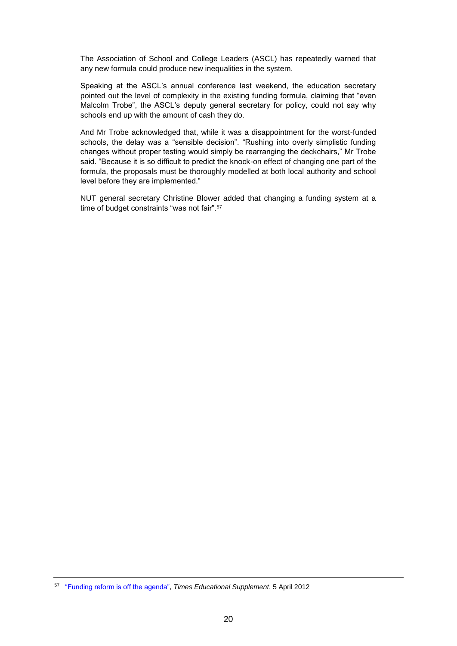The Association of School and College Leaders (ASCL) has repeatedly warned that any new formula could produce new inequalities in the system.

Speaking at the ASCL's annual conference last weekend, the education secretary pointed out the level of complexity in the existing funding formula, claiming that "even Malcolm Trobe", the ASCL's deputy general secretary for policy, could not say why schools end up with the amount of cash they do.

And Mr Trobe acknowledged that, while it was a disappointment for the worst-funded schools, the delay was a "sensible decision". "Rushing into overly simplistic funding changes without proper testing would simply be rearranging the deckchairs," Mr Trobe said. "Because it is so difficult to predict the knock-on effect of changing one part of the formula, the proposals must be thoroughly modelled at both local authority and school level before they are implemented."

NUT general secretary Christine Blower added that changing a funding system at a time of budget constraints "was not fair".<sup>57</sup>

<sup>57</sup> "Funding reform [is off the agenda",](http://www.tes.co.uk/article.aspx?storycode=6202900) *Times Educational Supplement*, 5 April 2012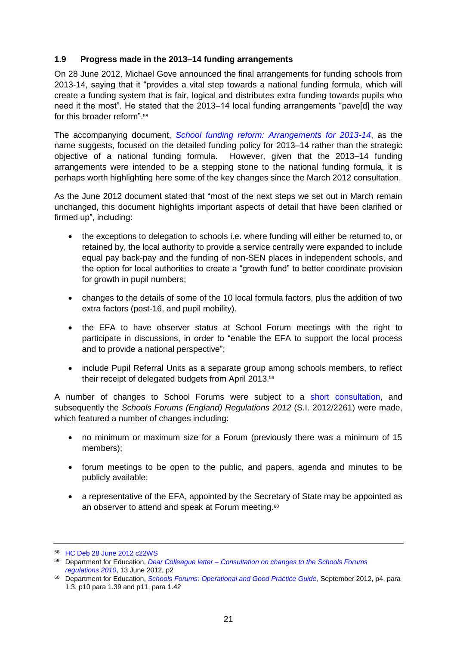# <span id="page-20-0"></span>**1.9 Progress made in the 2013–14 funding arrangements**

On 28 June 2012, Michael Gove announced the final arrangements for funding schools from 2013-14, saying that it "provides a vital step towards a national funding formula, which will create a funding system that is fair, logical and distributes extra funding towards pupils who need it the most". He stated that the 2013–14 local funding arrangements "pave[d] the way for this broader reform" <sup>58</sup>

The accompanying document, *[School funding reform: Arrangements for 2013-14](http://media.education.gov.uk/assets/files/pdf/s/school%20funding%20reform%20-%20final%202013-14%20arrangements.pdf)*, as the name suggests, focused on the detailed funding policy for 2013–14 rather than the strategic objective of a national funding formula. However, given that the 2013–14 funding arrangements were intended to be a stepping stone to the national funding formula, it is perhaps worth highlighting here some of the key changes since the March 2012 consultation.

As the June 2012 document stated that "most of the next steps we set out in March remain unchanged, this document highlights important aspects of detail that have been clarified or firmed up", including:

- the exceptions to delegation to schools i.e. where funding will either be returned to, or retained by, the local authority to provide a service centrally were expanded to include equal pay back-pay and the funding of non-SEN places in independent schools, and the option for local authorities to create a "growth fund" to better coordinate provision for growth in pupil numbers;
- changes to the details of some of the 10 local formula factors, plus the addition of two extra factors (post-16, and pupil mobility).
- the EFA to have observer status at School Forum meetings with the right to participate in discussions, in order to "enable the EFA to support the local process and to provide a national perspective";
- include Pupil Referral Units as a separate group among schools members, to reflect their receipt of delegated budgets from April 2013.<sup>59</sup>

A number of changes to School Forums were subject to a [short consultation,](http://media.education.gov.uk/assets/files/pdf/s/schools%20forums%20letter%20final.pdf) and subsequently the *Schools Forums (England) Regulations 2012* (S.I. 2012/2261) were made, which featured a number of changes including:

- no minimum or maximum size for a Forum (previously there was a minimum of 15 members);
- forum meetings to be open to the public, and papers, agenda and minutes to be publicly available;
- a representative of the EFA, appointed by the Secretary of State may be appointed as an observer to attend and speak at Forum meeting.<sup>60</sup>

<sup>58</sup> [HC Deb 28 June 2012 c22WS](http://www.publications.parliament.uk/pa/cm201213/cmhansrd/cm120628/wmstext/120628m0001.htm#12062862000005)

<sup>59</sup> Department for Education, *Dear Colleague letter – [Consultation on changes to the Schools Forums](http://media.education.gov.uk/assets/files/pdf/s/schools%20forums%20letter%20final.pdf)  [regulations 2010](http://media.education.gov.uk/assets/files/pdf/s/schools%20forums%20letter%20final.pdf)*, 13 June 2012, p2

<sup>60</sup> Department for Education, *[Schools Forums: Operational and Good Practice Guide](http://media.education.gov.uk/assets/files/pdf/s/schools%20forum%20-%20operational%20and%20good%20practice%20guide%2030%20april%2013.pdf)*, September 2012, p4, para 1.3, p10 para 1.39 and p11, para 1.42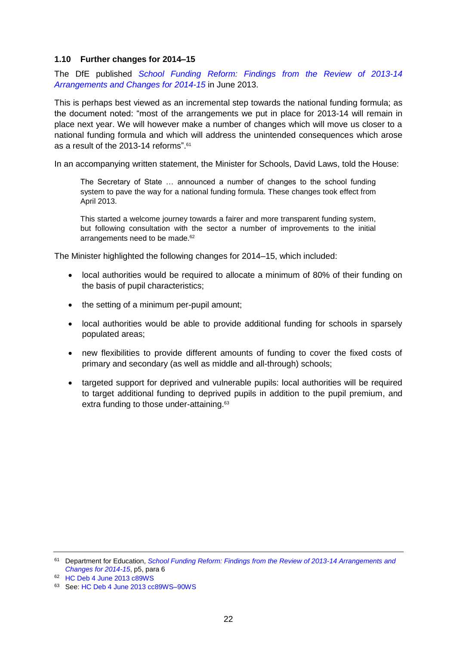#### <span id="page-21-0"></span>**1.10 Further changes for 2014–15**

The DfE published *[School Funding Reform: Findings from the Review of 2013-14](https://www.gov.uk/government/uploads/system/uploads/attachment_data/file/205195/school_funding_reform_2014-15.pdf)  [Arrangements and Changes for 2014-15](https://www.gov.uk/government/uploads/system/uploads/attachment_data/file/205195/school_funding_reform_2014-15.pdf)* in June 2013.

This is perhaps best viewed as an incremental step towards the national funding formula; as the document noted: "most of the arrangements we put in place for 2013-14 will remain in place next year. We will however make a number of changes which will move us closer to a national funding formula and which will address the unintended consequences which arose as a result of the 2013-14 reforms". 61

In an accompanying written statement, the Minister for Schools, David Laws, told the House:

The Secretary of State … announced a number of changes to the school funding system to pave the way for a national funding formula. These changes took effect from April 2013.

This started a welcome journey towards a fairer and more transparent funding system, but following consultation with the sector a number of improvements to the initial arrangements need to be made.<sup>62</sup>

The Minister highlighted the following changes for 2014–15, which included:

- local authorities would be required to allocate a minimum of 80% of their funding on the basis of pupil characteristics;
- the setting of a minimum per-pupil amount;
- local authorities would be able to provide additional funding for schools in sparsely populated areas;
- new flexibilities to provide different amounts of funding to cover the fixed costs of primary and secondary (as well as middle and all-through) schools;
- targeted support for deprived and vulnerable pupils: local authorities will be required to target additional funding to deprived pupils in addition to the pupil premium, and extra funding to those under-attaining.<sup>63</sup>

<sup>61</sup> Department for Education, *[School Funding Reform: Findings from the Review of 2013-14 Arrangements and](https://www.gov.uk/government/uploads/system/uploads/attachment_data/file/205195/school_funding_reform_2014-15.pdf)  [Changes for 2014-15](https://www.gov.uk/government/uploads/system/uploads/attachment_data/file/205195/school_funding_reform_2014-15.pdf)*, p5, para 6

<sup>62</sup> [HC Deb 4 June 2013 c89WS](http://www.publications.parliament.uk/pa/cm201314/cmhansrd/cm130604/wmstext/130604m0001.htm#13060452000015)

<sup>63</sup> See: [HC Deb 4 June 2013 cc89WS–90WS](http://www.publications.parliament.uk/pa/cm201314/cmhansrd/cm130604/wmstext/130604m0001.htm#13060452000015)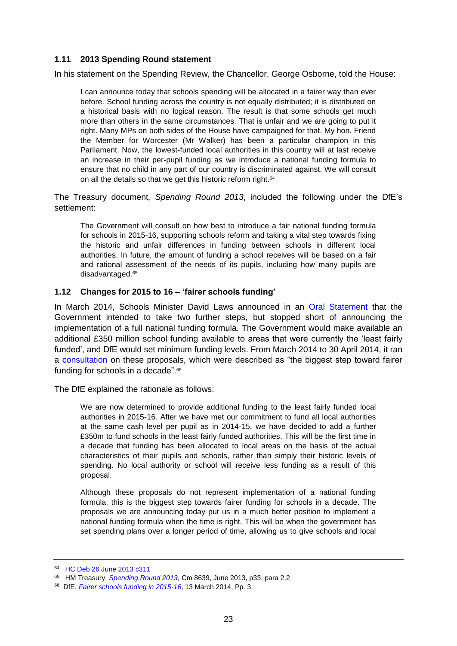# <span id="page-22-0"></span>**1.11 2013 Spending Round statement**

In his statement on the Spending Review, the Chancellor, George Osborne, told the House:

I can announce today that schools spending will be allocated in a fairer way than ever before. School funding across the country is not equally distributed; it is distributed on a historical basis with no logical reason. The result is that some schools get much more than others in the same circumstances. That is unfair and we are going to put it right. Many MPs on both sides of the House have campaigned for that. My hon. Friend the Member for Worcester (Mr Walker) has been a particular champion in this Parliament. Now, the lowest-funded local authorities in this country will at last receive an increase in their per-pupil funding as we introduce a national funding formula to ensure that no child in any part of our country is discriminated against. We will consult on all the details so that we get this historic reform right.<sup>64</sup>

The Treasury document*, Spending Round 2013*, included the following under the DfE's settlement:

The Government will consult on how best to introduce a fair national funding formula for schools in 2015-16, supporting schools reform and taking a vital step towards fixing the historic and unfair differences in funding between schools in different local authorities. In future, the amount of funding a school receives will be based on a fair and rational assessment of the needs of its pupils, including how many pupils are disadvantaged.<sup>65</sup>

#### <span id="page-22-1"></span>**1.12 Changes for 2015 to 16 – 'fairer schools funding'**

In March 2014, Schools Minister David Laws announced in an [Oral Statement](https://www.gov.uk/government/speeches/david-laws-oral-statement-on-minimum-funding-levels) that the Government intended to take two further steps, but stopped short of announcing the implementation of a full national funding formula. The Government would make available an additional £350 million school funding available to areas that were currently the 'least fairly funded', and DfE would set minimum funding levels. From March 2014 to 30 April 2014, it ran a [consultation](https://www.gov.uk/government/uploads/system/uploads/attachment_data/file/293930/Fairer_school_funding_consultation.pdf) on these proposals, which were described as "the biggest step toward fairer funding for schools in a decade".<sup>66</sup>

The DfE explained the rationale as follows:

We are now determined to provide additional funding to the least fairly funded local authorities in 2015-16. After we have met our commitment to fund all local authorities at the same cash level per pupil as in 2014-15, we have decided to add a further £350m to fund schools in the least fairly funded authorities. This will be the first time in a decade that funding has been allocated to local areas on the basis of the actual characteristics of their pupils and schools, rather than simply their historic levels of spending. No local authority or school will receive less funding as a result of this proposal.

Although these proposals do not represent implementation of a national funding formula, this is the biggest step towards fairer funding for schools in a decade. The proposals we are announcing today put us in a much better position to implement a national funding formula when the time is right. This will be when the government has set spending plans over a longer period of time, allowing us to give schools and local

<sup>64</sup> [HC Deb 26 June 2013 c311](http://www.publications.parliament.uk/pa/cm201314/cmhansrd/cm130626/debtext/130626-0001.htm#13062665000230)

<sup>65</sup> HM Treasury, *[Spending Round 2013](https://www.gov.uk/government/uploads/system/uploads/attachment_data/file/209036/spending-round-2013-complete.pdf)*, Cm 8639, June 2013, p33, para 2.2

<sup>66</sup> DfE, *[Fairer schools funding in 2015-16](https://www.gov.uk/government/uploads/system/uploads/attachment_data/file/293930/Fairer_school_funding_consultation.pdf)*, 13 March 2014, Pp. 3.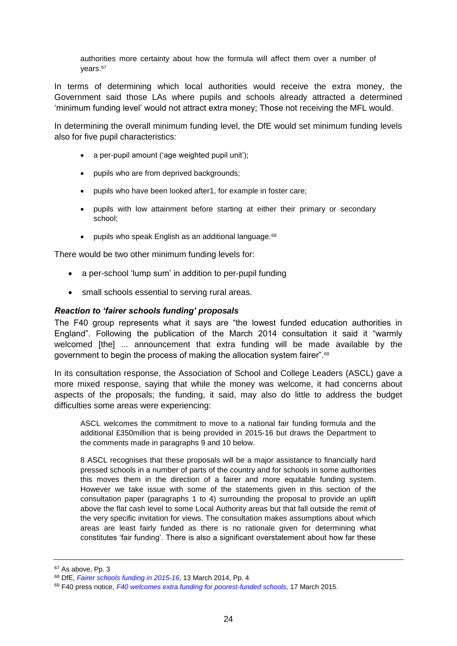authorities more certainty about how the formula will affect them over a number of vears.<sup>67</sup>

In terms of determining which local authorities would receive the extra money, the Government said those LAs where pupils and schools already attracted a determined 'minimum funding level' would not attract extra money; Those not receiving the MFL would.

In determining the overall minimum funding level, the DfE would set minimum funding levels also for five pupil characteristics:

- a per-pupil amount ('age weighted pupil unit');
- pupils who are from deprived backgrounds;
- pupils who have been looked after1, for example in foster care;
- pupils with low attainment before starting at either their primary or secondary school;
- pupils who speak English as an additional language. $68$

There would be two other minimum funding levels for:

- a per-school 'lump sum' in addition to per-pupil funding
- small schools essential to serving rural areas.

#### <span id="page-23-0"></span>*Reaction to 'fairer schools funding' proposals*

The F40 group represents what it says are "the lowest funded education authorities in England". Following the publication of the March 2014 consultation it said it "warmly welcomed [the] ... announcement that extra funding will be made available by the government to begin the process of making the allocation system fairer".<sup>69</sup>

In its consultation response, the Association of School and College Leaders (ASCL) gave a more mixed response, saying that while the money was welcome, it had concerns about aspects of the proposals; the funding, it said, may also do little to address the budget difficulties some areas were experiencing:

ASCL welcomes the commitment to move to a national fair funding formula and the additional £350million that is being provided in 2015-16 but draws the Department to the comments made in paragraphs 9 and 10 below.

8 ASCL recognises that these proposals will be a major assistance to financially hard pressed schools in a number of parts of the country and for schools in some authorities this moves them in the direction of a fairer and more equitable funding system. However we take issue with some of the statements given in this section of the consultation paper (paragraphs 1 to 4) surrounding the proposal to provide an uplift above the flat cash level to some Local Authority areas but that fall outside the remit of the very specific invitation for views. The consultation makes assumptions about which areas are least fairly funded as there is no rationale given for determining what constitutes 'fair funding'. There is also a significant overstatement about how far these

<sup>67</sup> As above, Pp. 3

<sup>68</sup> DfE, *[Fairer schools funding in 2015-16](https://www.gov.uk/government/uploads/system/uploads/attachment_data/file/293930/Fairer_school_funding_consultation.pdf)*, 13 March 2014, Pp. 4

<sup>69</sup> F40 press notice, *[F40 welcomes extra funding for poorest-funded schools,](http://www.f40.org.uk/news/f40-welcomes-extra-funding)* 17 March 2015.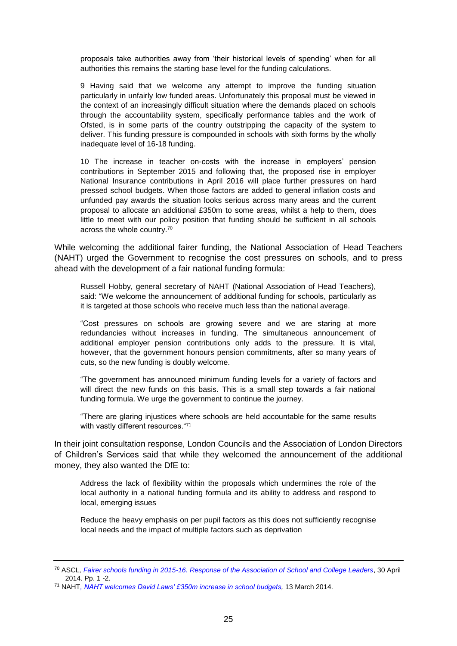proposals take authorities away from 'their historical levels of spending' when for all authorities this remains the starting base level for the funding calculations.

9 Having said that we welcome any attempt to improve the funding situation particularly in unfairly low funded areas. Unfortunately this proposal must be viewed in the context of an increasingly difficult situation where the demands placed on schools through the accountability system, specifically performance tables and the work of Ofsted, is in some parts of the country outstripping the capacity of the system to deliver. This funding pressure is compounded in schools with sixth forms by the wholly inadequate level of 16-18 funding.

10 The increase in teacher on-costs with the increase in employers' pension contributions in September 2015 and following that, the proposed rise in employer National Insurance contributions in April 2016 will place further pressures on hard pressed school budgets. When those factors are added to general inflation costs and unfunded pay awards the situation looks serious across many areas and the current proposal to allocate an additional £350m to some areas, whilst a help to them, does little to meet with our policy position that funding should be sufficient in all schools across the whole country.<sup>70</sup>

While welcoming the additional fairer funding, the National Association of Head Teachers (NAHT) urged the Government to recognise the cost pressures on schools, and to press ahead with the development of a fair national funding formula:

Russell Hobby, general secretary of NAHT (National Association of Head Teachers), said: "We welcome the announcement of additional funding for schools, particularly as it is targeted at those schools who receive much less than the national average.

"Cost pressures on schools are growing severe and we are staring at more redundancies without increases in funding. The simultaneous announcement of additional employer pension contributions only adds to the pressure. It is vital, however, that the government honours pension commitments, after so many years of cuts, so the new funding is doubly welcome.

"The government has announced minimum funding levels for a variety of factors and will direct the new funds on this basis. This is a small step towards a fair national funding formula. We urge the government to continue the journey.

"There are glaring injustices where schools are held accountable for the same results with vastly different resources. "71

In their joint consultation response, London Councils and the Association of London Directors of Children's Services said that while they welcomed the announcement of the additional money, they also wanted the DfE to:

Address the lack of flexibility within the proposals which undermines the role of the local authority in a national funding formula and its ability to address and respond to local, emerging issues

Reduce the heavy emphasis on per pupil factors as this does not sufficiently recognise local needs and the impact of multiple factors such as deprivation

<sup>70</sup> ASCL*[, Fairer schools funding in 2015-16. Response of the Association of School and College Leaders](http://www.ascl.org.uk/utilities/document-summary.html?id=2569F98B-3184-45D2-ADC6240AE422B685)*, 30 April 2014. Pp. 1 -2.

<sup>71</sup> NAHT*[, NAHT welcomes David Laws' £350m increase in school budgets,](http://www.naht.org.uk/welcome/news-and-media/key-topics/funding/naht-welcomes-david-laws-350m-increase-in-school-budgets/)* 13 March 2014.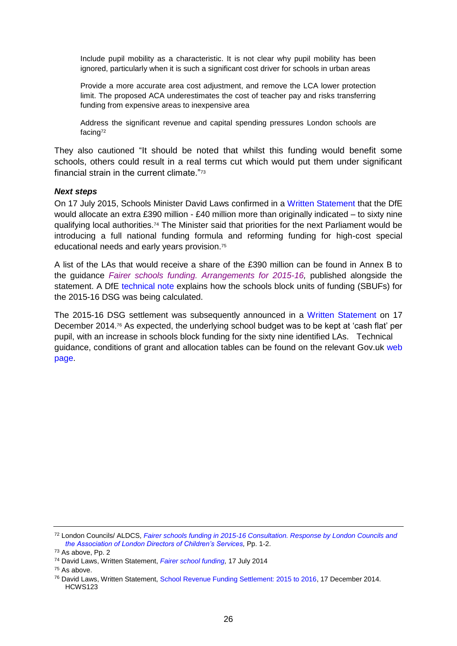Include pupil mobility as a characteristic. It is not clear why pupil mobility has been ignored, particularly when it is such a significant cost driver for schools in urban areas

Provide a more accurate area cost adjustment, and remove the LCA lower protection limit. The proposed ACA underestimates the cost of teacher pay and risks transferring funding from expensive areas to inexpensive area

Address the significant revenue and capital spending pressures London schools are facing<sup>72</sup>

They also cautioned "It should be noted that whilst this funding would benefit some schools, others could result in a real terms cut which would put them under significant financial strain in the current climate."<sup>73</sup>

#### <span id="page-25-0"></span>*Next steps*

On 17 July 2015, Schools Minister David Laws confirmed in a [Written Statement](https://www.gov.uk/government/speeches/fairer-school-funding) that the DfE would allocate an extra £390 million - £40 million more than originally indicated – to sixty nine qualifying local authorities.<sup>74</sup> The Minister said that priorities for the next Parliament would be introducing a full national funding formula and reforming funding for high-cost special educational needs and early years provision. 75

A list of the LAs that would receive a share of the £390 million can be found in Annex B to the guidance *[Fairer schools funding. Arrangements for 2015-16,](https://www.gov.uk/government/uploads/system/uploads/attachment_data/file/332652/Fairer_schools_funding_arrangements_for_2015_to_2016.pdf)* published alongside the statement. A DfE [technical note](https://www.gov.uk/government/uploads/system/uploads/attachment_data/file/331375/Schools_revenue_funding_2015_to_2016_technical_note.pdf) explains how the schools block units of funding (SBUFs) for the 2015-16 DSG was being calculated.

The 2015-16 DSG settlement was subsequently announced in a [Written Statement](http://www.parliament.uk/business/publications/written-questions-answers-statements/written-statement/Commons/2014-12-17/HCWS123) on 17 December 2014.<sup>76</sup> As expected, the underlying school budget was to be kept at 'cash flat' per pupil, with an increase in schools block funding for the sixty nine identified LAs. Technical guidance, conditions of grant and allocation tables can be found on the relevant Gov.uk web [page.](https://www.gov.uk/government/publications/dedicated-schools-grant-dsg-2015-to-2016)

 $75$  As above.

<sup>72</sup> London Councils/ ALDCS, *[Fairer schools funding in 2015-16 Consultation. Response by London Councils and](http://www.londoncouncils.gov.uk/policylobbying/localgovernmentfinance/educationandchildrenfunding/)  [the Association of London Directors of Children's Services,](http://www.londoncouncils.gov.uk/policylobbying/localgovernmentfinance/educationandchildrenfunding/)* Pp. 1-2.

<sup>73</sup> As above, Pp. 2

<sup>74</sup> David Laws, Written Statement, *[Fairer school funding,](https://www.gov.uk/government/speeches/fairer-school-funding)* 17 July 2014

<sup>76</sup> David Laws, Written Statement[, School Revenue Funding Settlement: 2015 to 2016,](http://www.parliament.uk/business/publications/written-questions-answers-statements/written-statement/Commons/2014-12-17/HCWS123) 17 December 2014. HCWS123